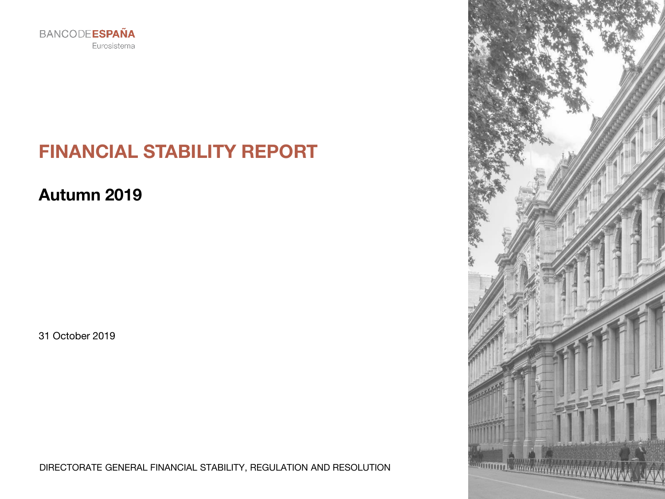

# **FINANCIAL STABILITY REPORT**

**Autumn 2019**

31 October 2019

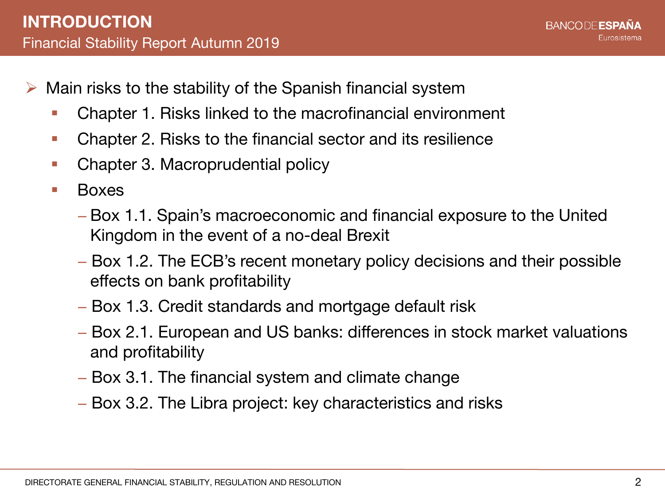- $\triangleright$  Main risks to the stability of the Spanish financial system
	- Chapter 1. Risks linked to the macrofinancial environment
	- Chapter 2. Risks to the financial sector and its resilience
	- Chapter 3. Macroprudential policy
	- **Boxes** 
		- − Box 1.1. Spain's macroeconomic and financial exposure to the United Kingdom in the event of a no-deal Brexit
		- − Box 1.2. The ECB's recent monetary policy decisions and their possible effects on bank profitability
		- − Box 1.3. Credit standards and mortgage default risk
		- − Box 2.1. European and US banks: differences in stock market valuations and profitability
		- − Box 3.1. The financial system and climate change
		- − Box 3.2. The Libra project: key characteristics and risks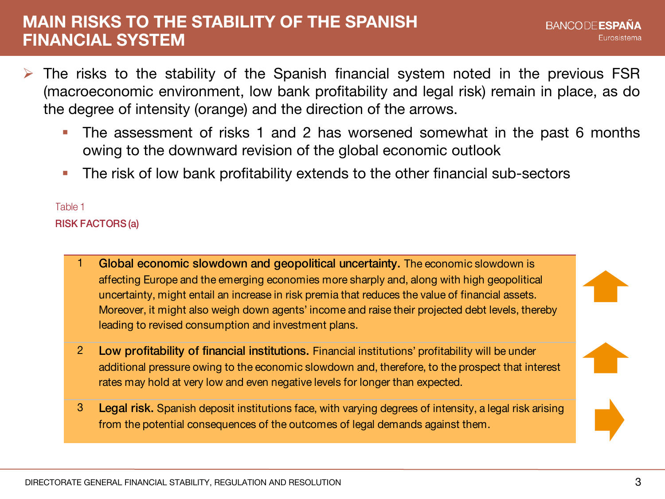### **MAIN RISKS TO THE STABILITY OF THE SPANISH FINANCIAL SYSTEM**

- The risks to the stability of the Spanish financial system noted in the previous FSR (macroeconomic environment, low bank profitability and legal risk) remain in place, as do the degree of intensity (orange) and the direction of the arrows.
	- The assessment of risks 1 and 2 has worsened somewhat in the past 6 months owing to the downward revision of the global economic outlook
	- The risk of low bank profitability extends to the other financial sub-sectors

RISK FACTORS (a) Table 1

- Global economic slowdown and geopolitical uncertainty. The economic slowdown is affecting Europe and the emerging economies more sharply and, along with high geopolitical uncertainty, might entail an increase in risk premia that reduces the value of financial assets. Moreover, it might also weigh down agents' income and raise their projected debt levels, thereby leading to revised consumption and investment plans.
- 2 Low profitability of financial institutions. Financial institutions' profitability will be under additional pressure owing to the economic slowdown and, therefore, to the prospect that interest rates may hold at very low and even negative levels for longer than expected.
- 3 Legal risk. Spanish deposit institutions face, with varying degrees of intensity, a legal risk arising from the potential consequences of the outcomes of legal demands against them.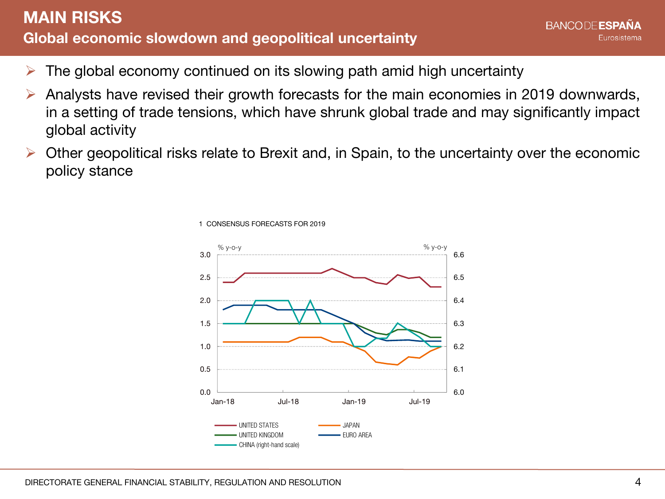### **Global economic slowdown and geopolitical uncertainty MAIN RISKS**

- $\triangleright$  The global economy continued on its slowing path amid high uncertainty
- Analysts have revised their growth forecasts for the main economies in 2019 downwards, in a setting of trade tensions, which have shrunk global trade and may significantly impact global activity
- Other geopolitical risks relate to Brexit and, in Spain, to the uncertainty over the economic policy stance



1 CONSENSUS FORECASTS FOR 2019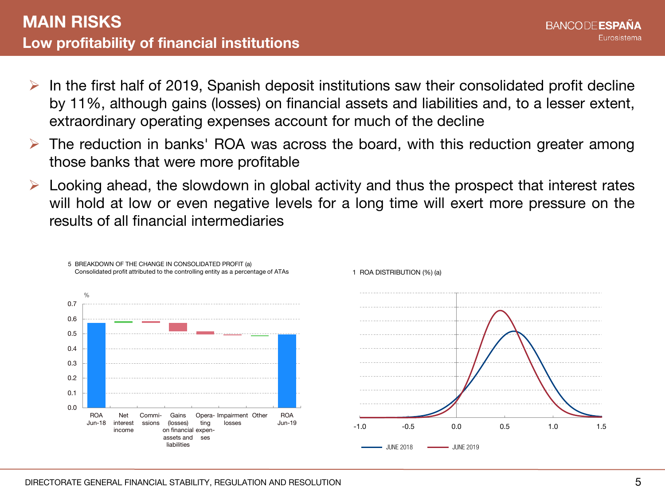- $\triangleright$  In the first half of 2019, Spanish deposit institutions saw their consolidated profit decline by 11%, although gains (losses) on financial assets and liabilities and, to a lesser extent, extraordinary operating expenses account for much of the decline
- The reduction in banks' ROA was across the board, with this reduction greater among those banks that were more profitable
- Looking ahead, the slowdown in global activity and thus the prospect that interest rates will hold at low or even negative levels for a long time will exert more pressure on the results of all financial intermediaries

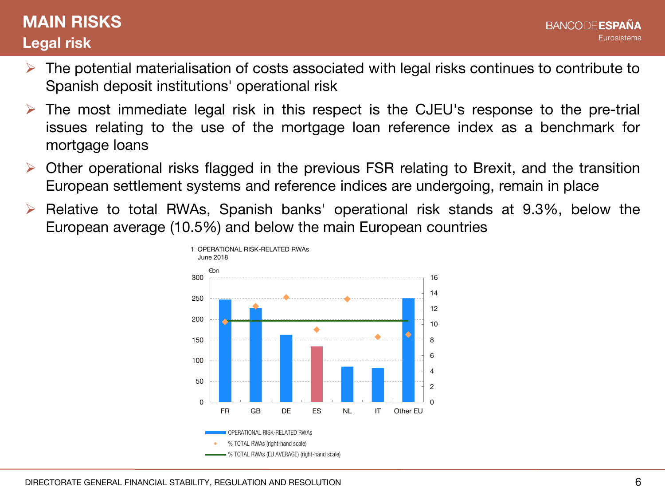## **Legal risk MAIN RISKS**

- The potential materialisation of costs associated with legal risks continues to contribute to Spanish deposit institutions' operational risk
- The most immediate legal risk in this respect is the CJEU's response to the pre-trial issues relating to the use of the mortgage loan reference index as a benchmark for mortgage loans
- Other operational risks flagged in the previous FSR relating to Brexit, and the transition European settlement systems and reference indices are undergoing, remain in place
- Relative to total RWAs, Spanish banks' operational risk stands at 9.3%, below the European average (10.5%) and below the main European countries

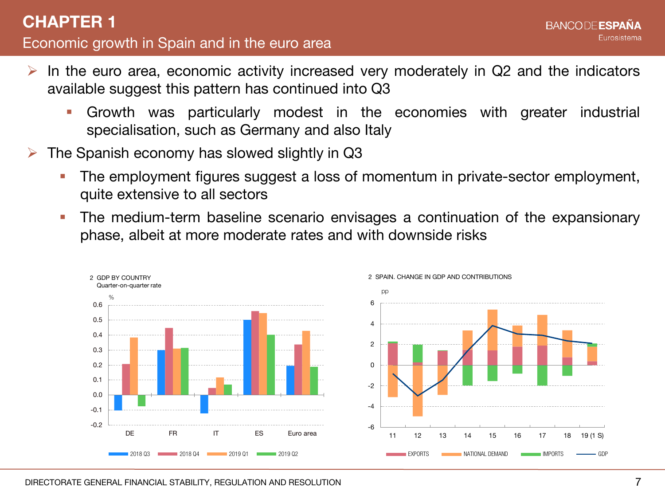- In the euro area, economic activity increased very moderately in Q2 and the indicators available suggest this pattern has continued into Q3
	- Growth was particularly modest in the economies with greater industrial specialisation, such as Germany and also Italy
- The Spanish economy has slowed slightly in Q3
	- The employment figures suggest a loss of momentum in private-sector employment, quite extensive to all sectors
	- The medium-term baseline scenario envisages a continuation of the expansionary phase, albeit at more moderate rates and with downside risks

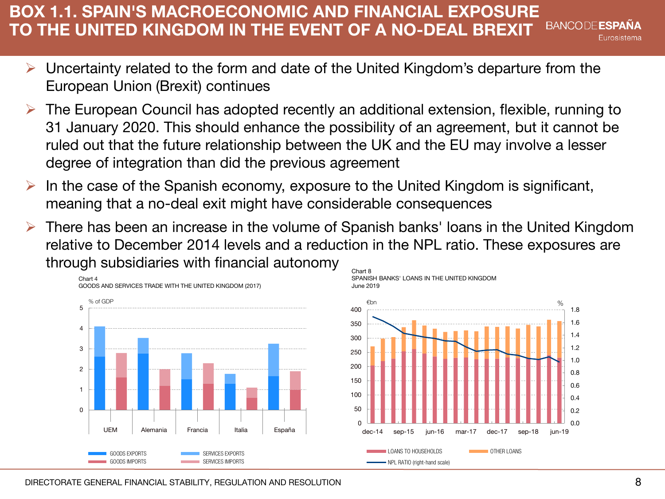#### **BOX 1.1. SPAIN'S MACROECONOMIC AND FINANCIAL EXPOSURE TO THE UNITED KINGDOM IN THE EVENT OF A NO-DEAL BREXIT** Eurosistema

- Uncertainty related to the form and date of the United Kingdom's departure from the European Union (Brexit) continues
- The European Council has adopted recently an additional extension, flexible, running to 31 January 2020. This should enhance the possibility of an agreement, but it cannot be ruled out that the future relationship between the UK and the EU may involve a lesser degree of integration than did the previous agreement
- In the case of the Spanish economy, exposure to the United Kingdom is significant, meaning that a no-deal exit might have considerable consequences
- There has been an increase in the volume of Spanish banks' loans in the United Kingdom relative to December 2014 levels and a reduction in the NPL ratio. These exposures are through subsidiaries with financial autonomy Chart 8

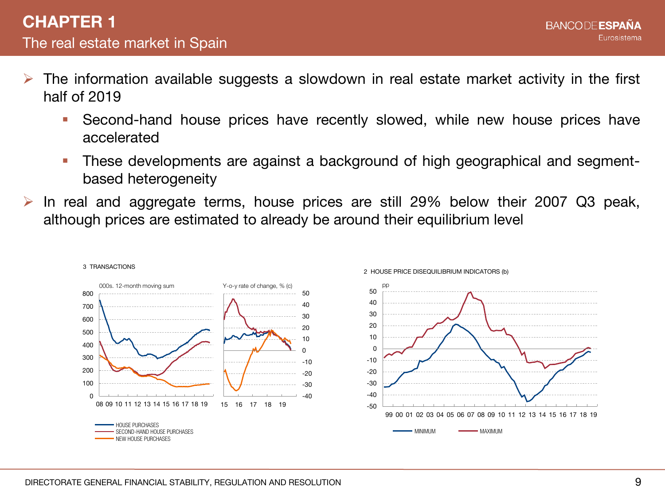- The information available suggests a slowdown in real estate market activity in the first half of 2019
	- Second-hand house prices have recently slowed, while new house prices have accelerated
	- **These developments are against a background of high geographical and segment**based heterogeneity
- In real and aggregate terms, house prices are still 29% below their 2007 Q3 peak, although prices are estimated to already be around their equilibrium level

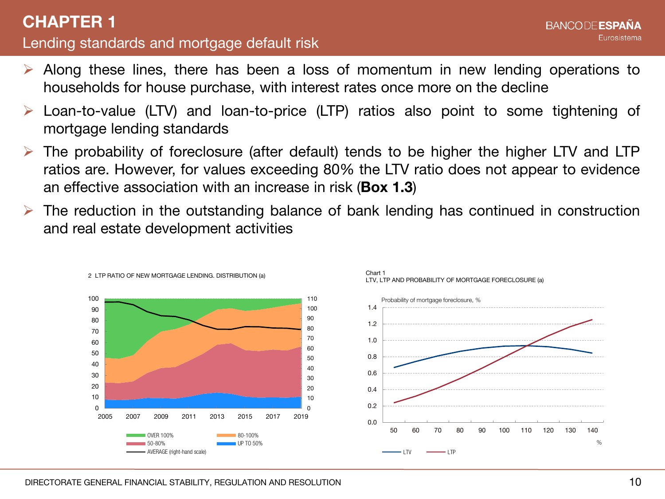### Lending standards and mortgage default risk **CHAPTER 1**

- Along these lines, there has been a loss of momentum in new lending operations to households for house purchase, with interest rates once more on the decline
- Loan-to-value (LTV) and loan-to-price (LTP) ratios also point to some tightening of mortgage lending standards
- The probability of foreclosure (after default) tends to be higher the higher LTV and LTP ratios are. However, for values exceeding 80% the LTV ratio does not appear to evidence an effective association with an increase in risk (**Box 1.3**)
- The reduction in the outstanding balance of bank lending has continued in construction and real estate development activities





2 LTP RATIO OF NEW MORTGAGE LENDING. DISTRIBUTION (a)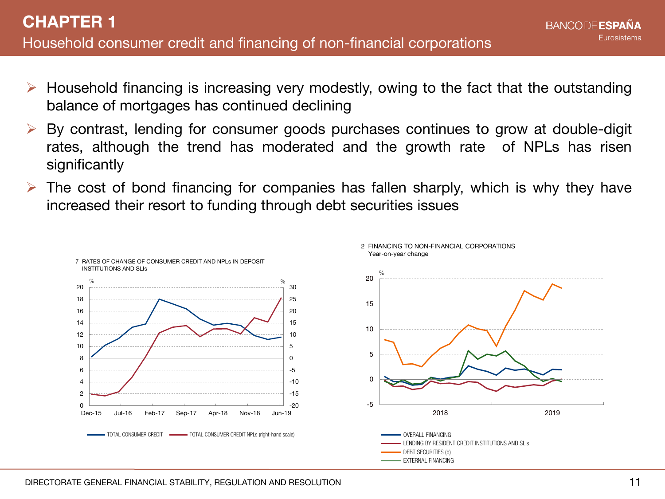- Household financing is increasing very modestly, owing to the fact that the outstanding balance of mortgages has continued declining
- By contrast, lending for consumer goods purchases continues to grow at double-digit rates, although the trend has moderated and the growth rate of NPLs has risen significantly
- The cost of bond financing for companies has fallen sharply, which is why they have increased their resort to funding through debt securities issues

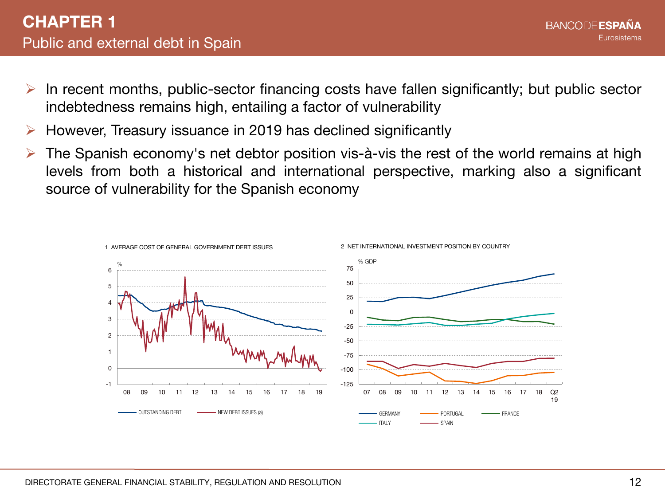- In recent months, public-sector financing costs have fallen significantly; but public sector indebtedness remains high, entailing a factor of vulnerability
- However, Treasury issuance in 2019 has declined significantly
- The Spanish economy's net debtor position vis-à-vis the rest of the world remains at high levels from both a historical and international perspective, marking also a significant source of vulnerability for the Spanish economy

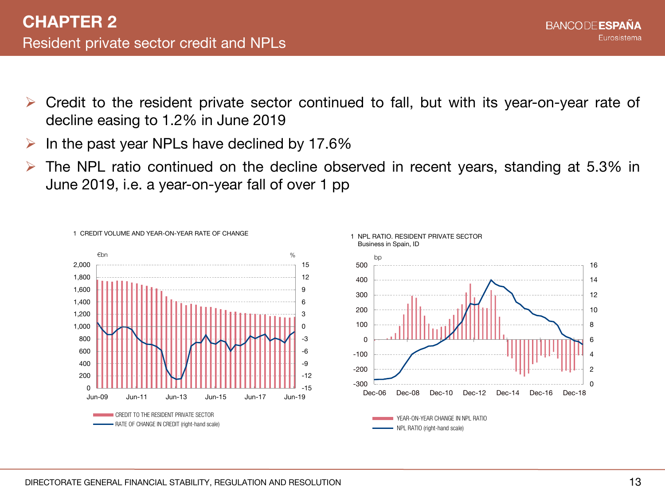- Credit to the resident private sector continued to fall, but with its year-on-year rate of decline easing to 1.2% in June 2019
- $\triangleright$  In the past year NPLs have declined by 17.6%

1 CREDIT VOLUME AND YEAR-ON-YEAR RATE OF CHANGE

 The NPL ratio continued on the decline observed in recent years, standing at 5.3% in June 2019, i.e. a year-on-year fall of over 1 pp



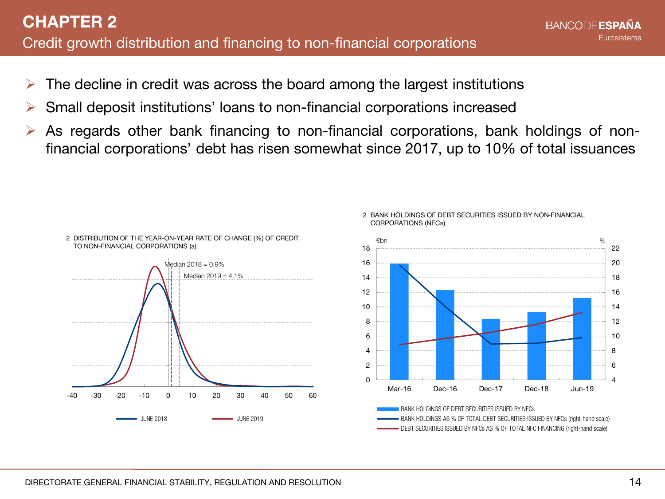- The decline in credit was across the board among the largest institutions
- Small deposit institutions' loans to non-financial corporations increased
- As regards other bank financing to non-financial corporations, bank holdings of nonfinancial corporations' debt has risen somewhat since 2017, up to 10% of total issuances



#### 2 BANK HOLDINGS OF DEBT SECURITIES ISSUED BY NON-FINANCIAL CORPORATIONS (NFCs)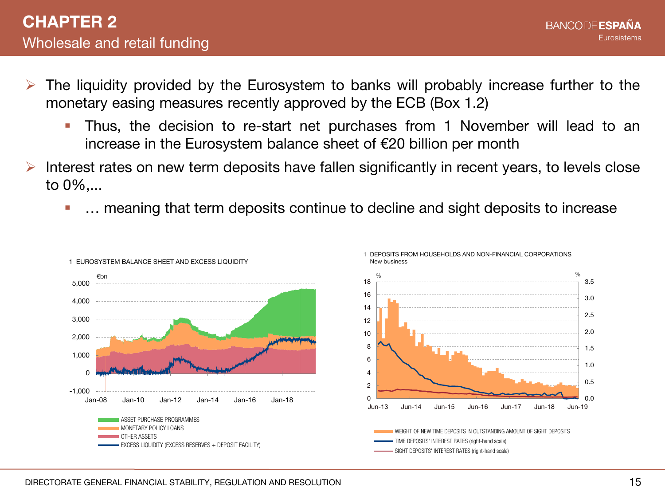- The liquidity provided by the Eurosystem to banks will probably increase further to the monetary easing measures recently approved by the ECB (Box 1.2)
	- Thus, the decision to re-start net purchases from 1 November will lead to an increase in the Eurosystem balance sheet of €20 billion per month
- Interest rates on new term deposits have fallen significantly in recent years, to levels close to 0%,...
	- **•** ... meaning that term deposits continue to decline and sight deposits to increase

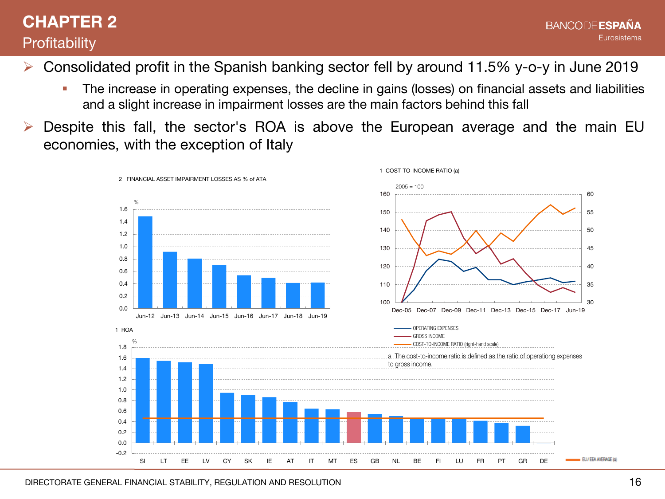## **CHAPTER 2 Profitability**

- Consolidated profit in the Spanish banking sector fell by around 11.5% y-o-y in June 2019
	- **The increase in operating expenses, the decline in gains (losses) on financial assets and liabilities** and a slight increase in impairment losses are the main factors behind this fall
- Despite this fall, the sector's ROA is above the European average and the main EU economies, with the exception of Italy

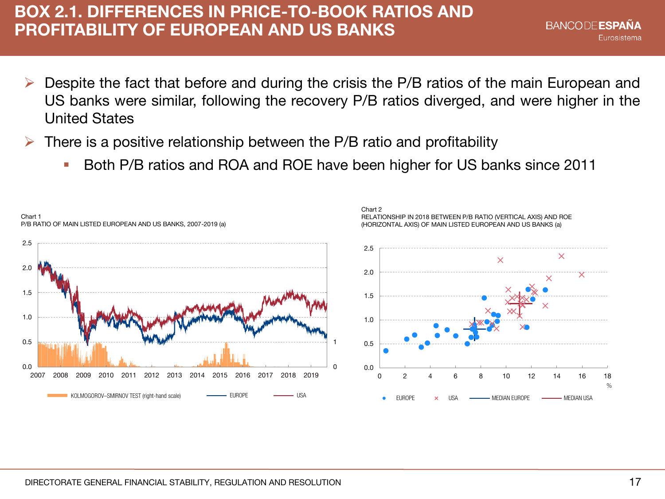### **BOX 2.1. DIFFERENCES IN PRICE-TO-BOOK RATIOS AND PROFITABILITY OF EUROPEAN AND US BANKS**

- Despite the fact that before and during the crisis the P/B ratios of the main European and US banks were similar, following the recovery P/B ratios diverged, and were higher in the United States
- There is a positive relationship between the P/B ratio and profitability
	- Both P/B ratios and ROA and ROE have been higher for US banks since 2011

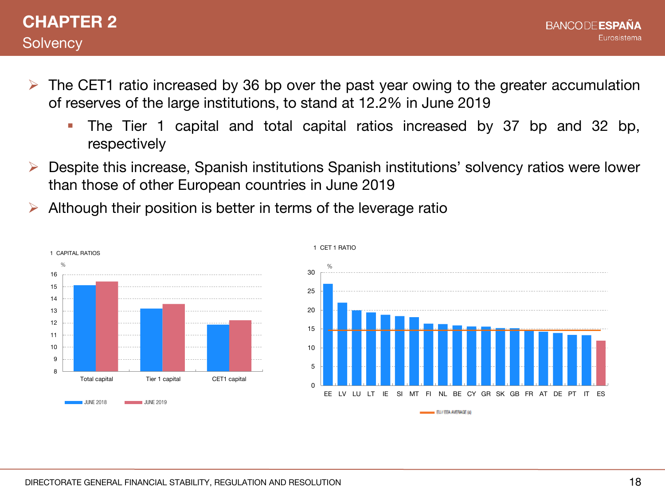- $\triangleright$  The CET1 ratio increased by 36 bp over the past year owing to the greater accumulation of reserves of the large institutions, to stand at 12.2% in June 2019
	- The Tier 1 capital and total capital ratios increased by 37 bp and 32 bp, respectively
- Despite this increase, Spanish institutions Spanish institutions' solvency ratios were lower than those of other European countries in June 2019
- Although their position is better in terms of the leverage ratio





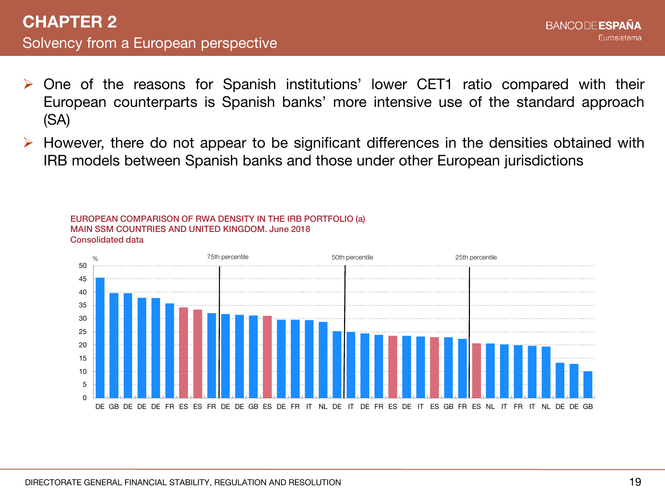- One of the reasons for Spanish institutions' lower CET1 ratio compared with their European counterparts is Spanish banks' more intensive use of the standard approach (SA)
- However, there do not appear to be significant differences in the densities obtained with IRB models between Spanish banks and those under other European jurisdictions

#### EUROPEAN COMPARISON OF RWA DENSITY IN THE IRB PORTFOLIO (a) MAIN SSM COUNTRIES AND UNITED KINGDOM. June 2018 Consolidated data

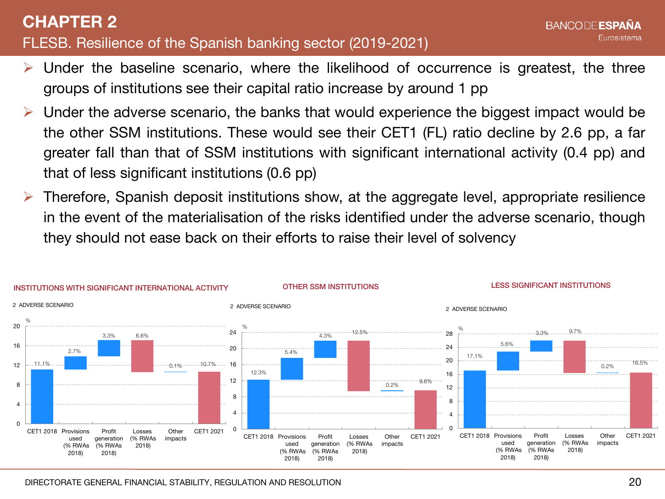### FLESB. Resilience of the Spanish banking sector (2019-2021) **CHAPTER 2**

- Under the baseline scenario, where the likelihood of occurrence is greatest, the three groups of institutions see their capital ratio increase by around 1 pp
- Under the adverse scenario, the banks that would experience the biggest impact would be the other SSM institutions. These would see their CET1 (FL) ratio decline by 2.6 pp, a far greater fall than that of SSM institutions with significant international activity (0.4 pp) and that of less significant institutions (0.6 pp)
- Therefore, Spanish deposit institutions show, at the aggregate level, appropriate resilience in the event of the materialisation of the risks identified under the adverse scenario, though they should not ease back on their efforts to raise their level of solvency



**RANCODE ESPAÑA** 

Eurosistema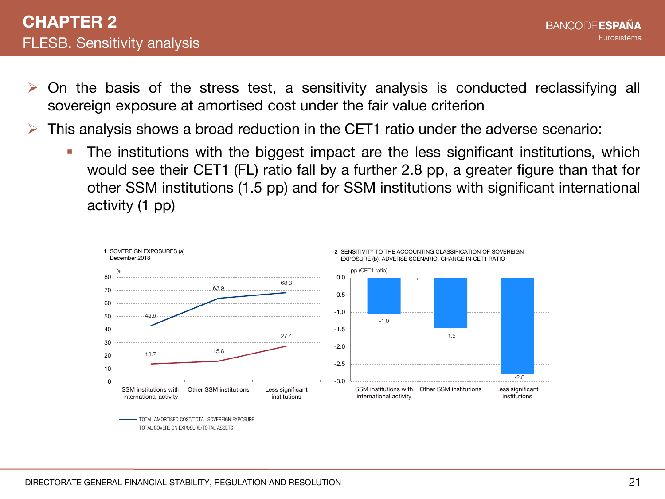- On the basis of the stress test, a sensitivity analysis is conducted reclassifying all sovereign exposure at amortised cost under the fair value criterion
- This analysis shows a broad reduction in the CET1 ratio under the adverse scenario:
	- **The institutions with the biggest impact are the less significant institutions, which** would see their CET1 (FL) ratio fall by a further 2.8 pp, a greater figure than that for other SSM institutions (1.5 pp) and for SSM institutions with significant international activity (1 pp)



TOTAL SOVEREIGN EXPOSURE/TOTAL ASSETS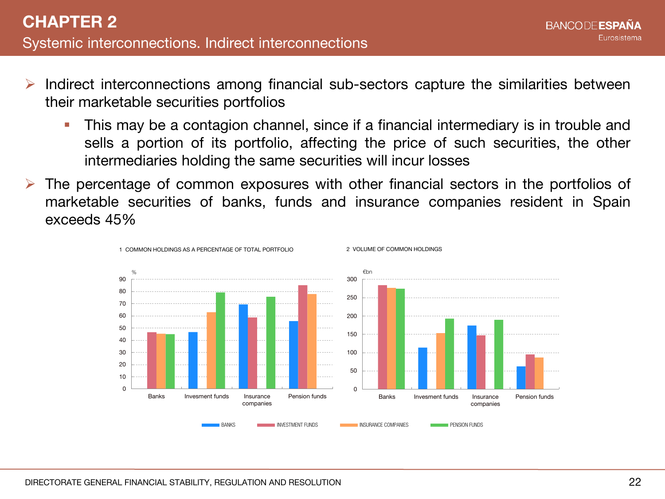- Indirect interconnections among financial sub-sectors capture the similarities between their marketable securities portfolios
	- This may be a contagion channel, since if a financial intermediary is in trouble and sells a portion of its portfolio, affecting the price of such securities, the other intermediaries holding the same securities will incur losses
- The percentage of common exposures with other financial sectors in the portfolios of marketable securities of banks, funds and insurance companies resident in Spain exceeds 45%

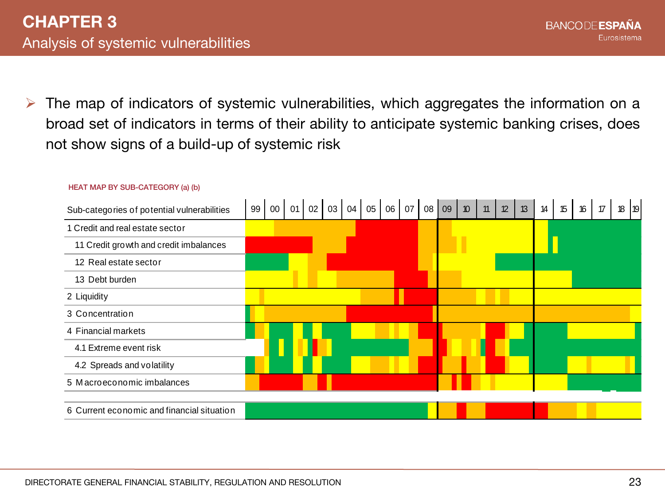$\triangleright$  The map of indicators of systemic vulnerabilities, which aggregates the information on a broad set of indicators in terms of their ability to anticipate systemic banking crises, does not show signs of a build-up of systemic risk



#### HEAT MAP BY SUB-CATEGORY (a) (b)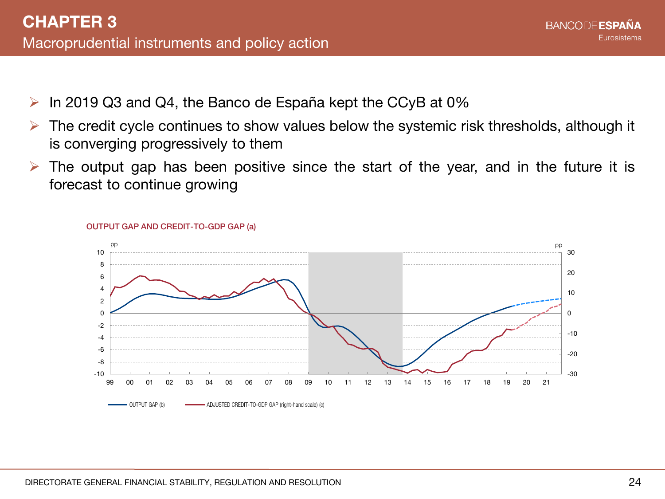- $\triangleright$  In 2019 Q3 and Q4, the Banco de España kept the CCyB at 0%
- $\triangleright$  The credit cycle continues to show values below the systemic risk thresholds, although it is converging progressively to them
- $\triangleright$  The output gap has been positive since the start of the year, and in the future it is forecast to continue growing



#### OUTPUT GAP AND CREDIT-TO-GDP GAP (a)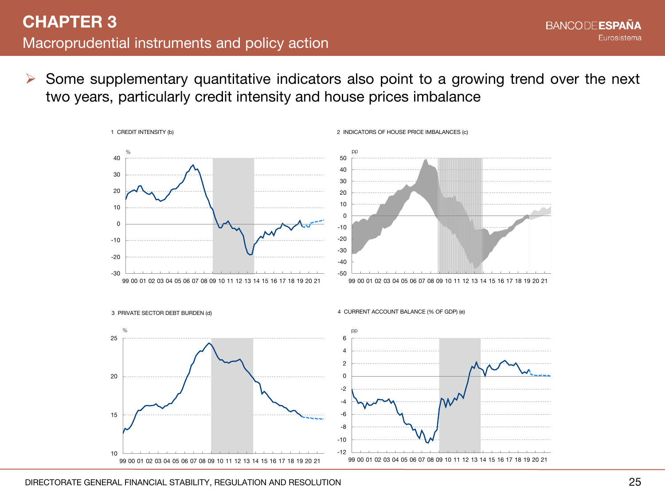$\triangleright$  Some supplementary quantitative indicators also point to a growing trend over the next two years, particularly credit intensity and house prices imbalance

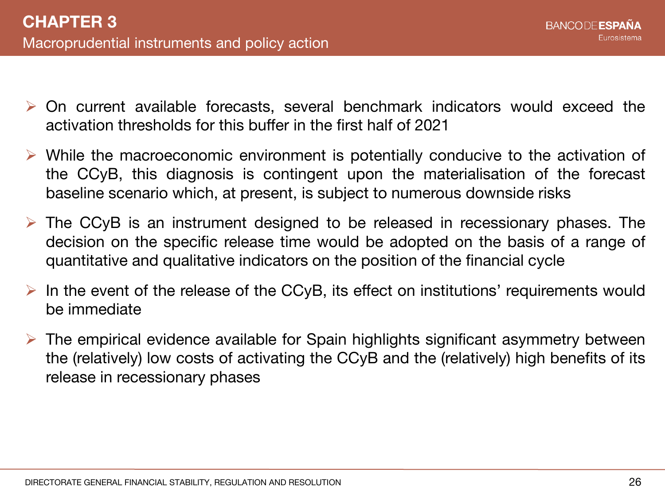- On current available forecasts, several benchmark indicators would exceed the activation thresholds for this buffer in the first half of 2021
- $\triangleright$  While the macroeconomic environment is potentially conducive to the activation of the CCyB, this diagnosis is contingent upon the materialisation of the forecast baseline scenario which, at present, is subject to numerous downside risks
- $\triangleright$  The CCyB is an instrument designed to be released in recessionary phases. The decision on the specific release time would be adopted on the basis of a range of quantitative and qualitative indicators on the position of the financial cycle
- $\triangleright$  In the event of the release of the CCyB, its effect on institutions' requirements would be immediate
- $\triangleright$  The empirical evidence available for Spain highlights significant asymmetry between the (relatively) low costs of activating the CCyB and the (relatively) high benefits of its release in recessionary phases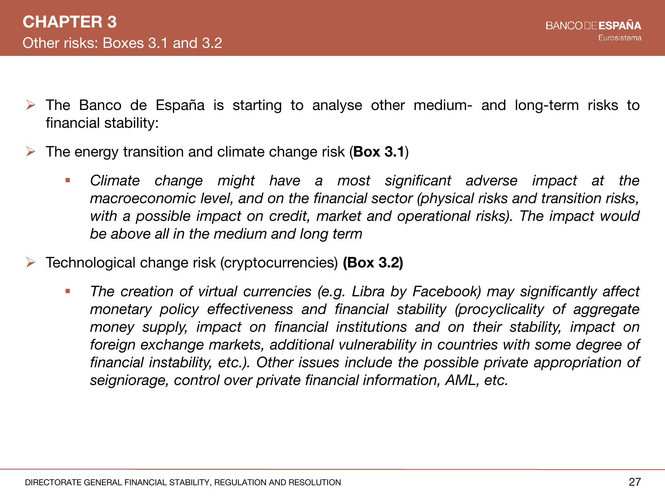- $\triangleright$  The Banco de España is starting to analyse other medium- and long-term risks to financial stability:
- The energy transition and climate change risk (**Box 3.1**)
	- *Climate change might have a most significant adverse impact at the macroeconomic level, and on the financial sector (physical risks and transition risks, with a possible impact on credit, market and operational risks). The impact would be above all in the medium and long term*
- Technological change risk (cryptocurrencies) **(Box 3.2)**
	- *The creation of virtual currencies (e.g. Libra by Facebook) may significantly affect monetary policy effectiveness and financial stability (procyclicality of aggregate money supply, impact on financial institutions and on their stability, impact on foreign exchange markets, additional vulnerability in countries with some degree of financial instability, etc.). Other issues include the possible private appropriation of seigniorage, control over private financial information, AML, etc.*